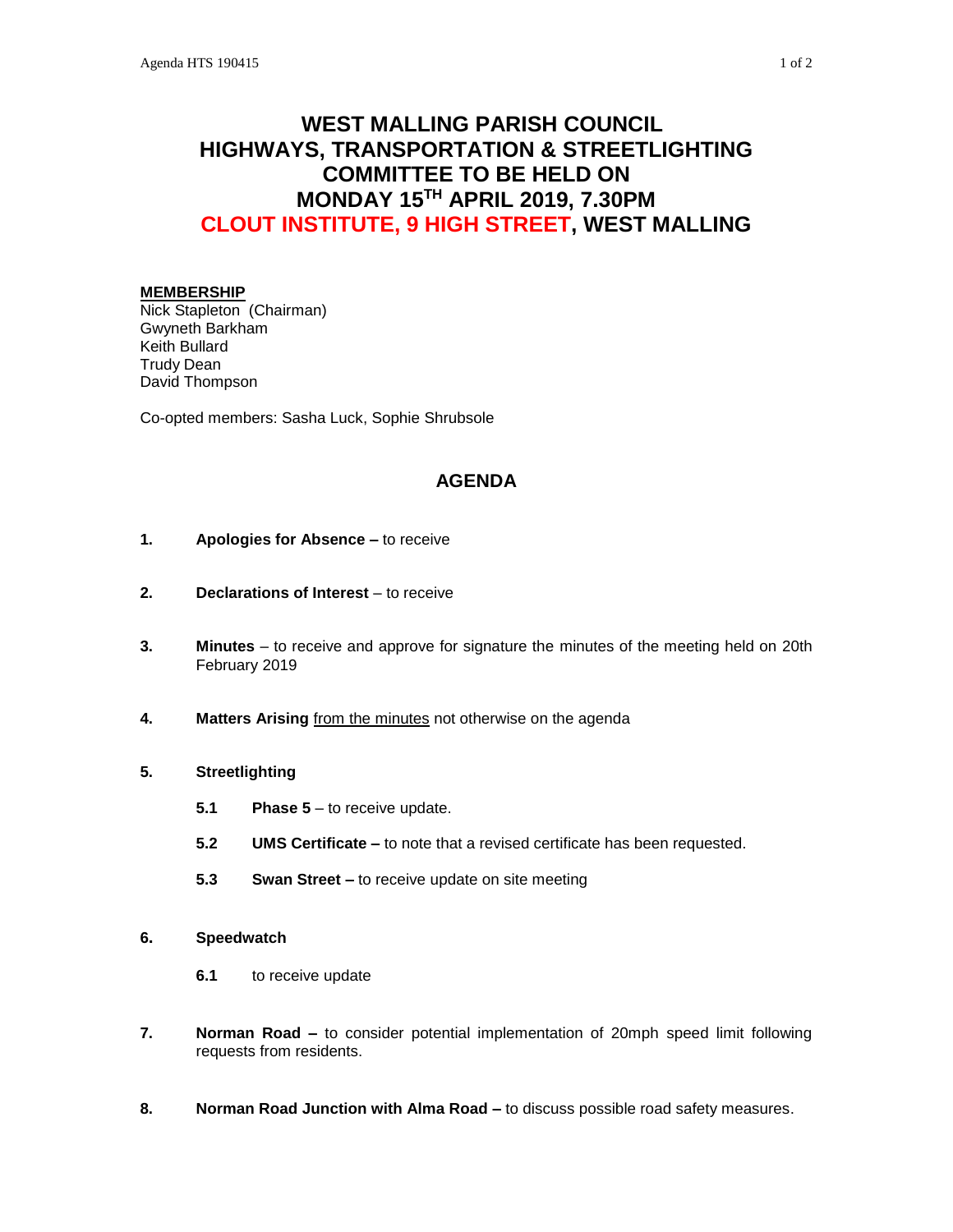# **WEST MALLING PARISH COUNCIL HIGHWAYS, TRANSPORTATION & STREETLIGHTING COMMITTEE TO BE HELD ON MONDAY 15TH APRIL 2019, 7.30PM CLOUT INSTITUTE, 9 HIGH STREET, WEST MALLING**

## **MEMBERSHIP**

Nick Stapleton (Chairman) Gwyneth Barkham Keith Bullard Trudy Dean David Thompson

Co-opted members: Sasha Luck, Sophie Shrubsole

# **AGENDA**

- **1. Apologies for Absence –** to receive
- **2. Declarations of Interest** to receive
- **3. Minutes**  to receive and approve for signature the minutes of the meeting held on 20th February 2019
- **4. Matters Arising** from the minutes not otherwise on the agenda

# **5. Streetlighting**

- **5.1 Phase 5** to receive update.
- **5.2 UMS Certificate –** to note that a revised certificate has been requested.
- **5.3 Swan Street –** to receive update on site meeting
- **6. Speedwatch**
	- **6.1** to receive update
- **7. Norman Road –** to consider potential implementation of 20mph speed limit following requests from residents.
- **8. Norman Road Junction with Alma Road –** to discuss possible road safety measures.